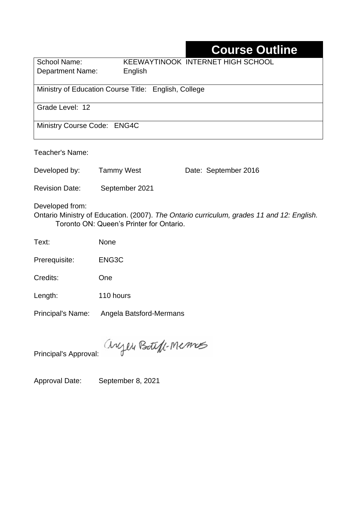# **Course Outline**

| School Name:                                         | KEEWAYTINOOK INTERNET HIGH SCHOOL |  |  |  |
|------------------------------------------------------|-----------------------------------|--|--|--|
| <b>Department Name:</b>                              | English                           |  |  |  |
|                                                      |                                   |  |  |  |
| Ministry of Education Course Title: English, College |                                   |  |  |  |
|                                                      |                                   |  |  |  |
| Grade Level: 12                                      |                                   |  |  |  |
|                                                      |                                   |  |  |  |
| Ministry Course Code: ENG4C                          |                                   |  |  |  |
|                                                      |                                   |  |  |  |

Teacher's Name:

Developed by: Tammy West Date: September 2016

Revision Date: September 2021

Developed from:

Ontario Ministry of Education. (2007). *The Ontario curriculum, grades 11 and 12: English.*  Toronto ON: Queen's Printer for Ontario.

Text: None

Prerequisite: ENG3C

Credits: One

Length: 110 hours

Principal's Name: Angela Batsford-Mermans

anyen Boteff-Memos

Principal's Approval:

Approval Date: September 8, 2021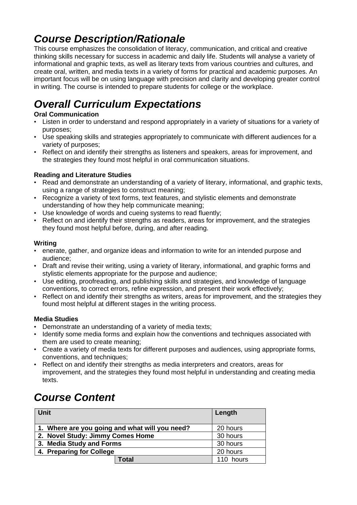## *Course Description/Rationale*

This course emphasizes the consolidation of literacy, communication, and critical and creative thinking skills necessary for success in academic and daily life. Students will analyse a variety of informational and graphic texts, as well as literary texts from various countries and cultures, and create oral, written, and media texts in a variety of forms for practical and academic purposes. An important focus will be on using language with precision and clarity and developing greater control in writing. The course is intended to prepare students for college or the workplace.

# *Overall Curriculum Expectations*

#### **Oral Communication**

- Listen in order to understand and respond appropriately in a variety of situations for a variety of purposes;
- Use speaking skills and strategies appropriately to communicate with different audiences for a variety of purposes;
- Reflect on and identify their strengths as listeners and speakers, areas for improvement, and the strategies they found most helpful in oral communication situations.

#### **Reading and Literature Studies**

- Read and demonstrate an understanding of a variety of literary, informational, and graphic texts, using a range of strategies to construct meaning;
- Recognize a variety of text forms, text features, and stylistic elements and demonstrate understanding of how they help communicate meaning;
- Use knowledge of words and cueing systems to read fluently;
- Reflect on and identify their strengths as readers, areas for improvement, and the strategies they found most helpful before, during, and after reading.

#### **Writing**

- enerate, gather, and organize ideas and information to write for an intended purpose and audience;
- Draft and revise their writing, using a variety of literary, informational, and graphic forms and stylistic elements appropriate for the purpose and audience;
- Use editing, proofreading, and publishing skills and strategies, and knowledge of language conventions, to correct errors, refine expression, and present their work effectively;
- Reflect on and identify their strengths as writers, areas for improvement, and the strategies they found most helpful at different stages in the writing process.

#### **Media Studies**

- Demonstrate an understanding of a variety of media texts;
- Identify some media forms and explain how the conventions and techniques associated with them are used to create meaning;
- Create a variety of media texts for different purposes and audiences, using appropriate forms, conventions, and techniques;
- Reflect on and identify their strengths as media interpreters and creators, areas for improvement, and the strategies they found most helpful in understanding and creating media texts.

## *Course Content*

| <b>Unit</b>                                    |       | Length    |
|------------------------------------------------|-------|-----------|
| 1. Where are you going and what will you need? |       | 20 hours  |
| 2. Novel Study: Jimmy Comes Home               |       | 30 hours  |
| 3. Media Study and Forms                       |       | 30 hours  |
| 4. Preparing for College                       |       | 20 hours  |
|                                                | Total | 110 hours |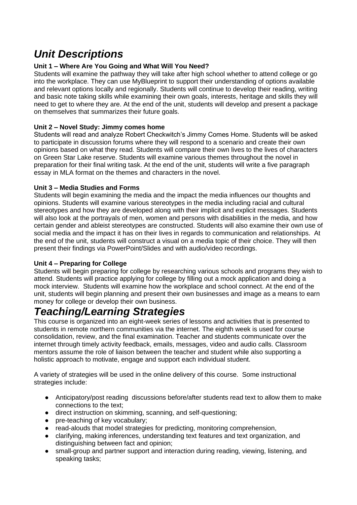## *Unit Descriptions*

#### **Unit 1 – Where Are You Going and What Will You Need?**

Students will examine the pathway they will take after high school whether to attend college or go into the workplace. They can use MyBlueprint to support their understanding of options available and relevant options locally and regionally. Students will continue to develop their reading, writing and basic note taking skills while examining their own goals, interests, heritage and skills they will need to get to where they are. At the end of the unit, students will develop and present a package on themselves that summarizes their future goals.

#### **Unit 2 – Novel Study: Jimmy comes home**

Students will read and analyze Robert Checkwitch's Jimmy Comes Home. Students will be asked to participate in discussion forums where they will respond to a scenario and create their own opinions based on what they read. Students will compare their own lives to the lives of characters on Green Star Lake reserve. Students will examine various themes throughout the novel in preparation for their final writing task. At the end of the unit, students will write a five paragraph essay in MLA format on the themes and characters in the novel.

#### **Unit 3 – Media Studies and Forms**

Students will begin examining the media and the impact the media influences our thoughts and opinions. Students will examine various stereotypes in the media including racial and cultural stereotypes and how they are developed along with their implicit and explicit messages. Students will also look at the portrayals of men, women and persons with disabilities in the media, and how certain gender and ableist stereotypes are constructed. Students will also examine their own use of social media and the impact it has on their lives in regards to communication and relationships. At the end of the unit, students will construct a visual on a media topic of their choice. They will then present their findings via PowerPoint/Slides and with audio/video recordings.

#### **Unit 4 – Preparing for College**

Students will begin preparing for college by researching various schools and programs they wish to attend. Students will practice applying for college by filling out a mock application and doing a mock interview. Students will examine how the workplace and school connect. At the end of the unit, students will begin planning and present their own businesses and image as a means to earn money for college or develop their own business.

### *Teaching/Learning Strategies*

This course is organized into an eight-week series of lessons and activities that is presented to students in remote northern communities via the internet. The eighth week is used for course consolidation, review, and the final examination. Teacher and students communicate over the internet through timely activity feedback, emails, messages, video and audio calls. Classroom mentors assume the role of liaison between the teacher and student while also supporting a holistic approach to motivate, engage and support each individual student.

A variety of strategies will be used in the online delivery of this course. Some instructional strategies include:

- Anticipatory/post reading discussions before/after students read text to allow them to make connections to the text;
- direct instruction on skimming, scanning, and self-questioning;
- pre-teaching of key vocabulary;
- read-alouds that model strategies for predicting, monitoring comprehension,
- clarifying, making inferences, understanding text features and text organization, and distinguishing between fact and opinion;
- small-group and partner support and interaction during reading, viewing, listening, and speaking tasks;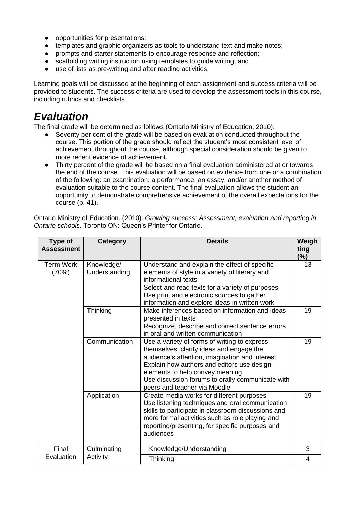- opportunities for presentations;
- templates and graphic organizers as tools to understand text and make notes;
- prompts and starter statements to encourage response and reflection;
- scaffolding writing instruction using templates to guide writing; and
- use of lists as pre-writing and after reading activities.

Learning goals will be discussed at the beginning of each assignment and success criteria will be provided to students. The success criteria are used to develop the assessment tools in this course, including rubrics and checklists.

### *Evaluation*

The final grade will be determined as follows (Ontario Ministry of Education, 2010):

- Seventy per cent of the grade will be based on evaluation conducted throughout the course. This portion of the grade should reflect the student's most consistent level of achievement throughout the course, although special consideration should be given to more recent evidence of achievement.
- Thirty percent of the grade will be based on a final evaluation administered at or towards the end of the course. This evaluation will be based on evidence from one or a combination of the following: an examination, a performance, an essay, and/or another method of evaluation suitable to the course content. The final evaluation allows the student an opportunity to demonstrate comprehensive achievement of the overall expectations for the course (p. 41).

| Type of<br><b>Assessment</b> | Category                    | <b>Details</b>                                                                                                                                                                                                                                                                                                  | Weigh<br>ting<br>$(\%)$ |
|------------------------------|-----------------------------|-----------------------------------------------------------------------------------------------------------------------------------------------------------------------------------------------------------------------------------------------------------------------------------------------------------------|-------------------------|
| <b>Term Work</b><br>(70%)    | Knowledge/<br>Understanding | Understand and explain the effect of specific<br>elements of style in a variety of literary and<br>informational texts<br>Select and read texts for a variety of purposes<br>Use print and electronic sources to gather<br>information and explore ideas in written work                                        |                         |
|                              | Thinking                    | Make inferences based on information and ideas<br>presented in texts<br>Recognize, describe and correct sentence errors<br>in oral and written communication                                                                                                                                                    | 19                      |
|                              | Communication               | Use a variety of forms of writing to express<br>themselves, clarify ideas and engage the<br>audience's attention, imagination and interest<br>Explain how authors and editors use design<br>elements to help convey meaning<br>Use discussion forums to orally communicate with<br>peers and teacher via Moodle | 19                      |
|                              | Application                 | Create media works for different purposes<br>Use listening techniques and oral communication<br>skills to participate in classroom discussions and<br>more formal activities such as role playing and<br>reporting/presenting, for specific purposes and<br>audiences                                           | 19                      |
| Final                        | Culminating                 | Knowledge/Understanding                                                                                                                                                                                                                                                                                         | 3                       |
| Evaluation                   | Activity                    | Thinking                                                                                                                                                                                                                                                                                                        | 4                       |

Ontario Ministry of Education. (2010). *Growing success: Assessment, evaluation and reporting in Ontario schools*. Toronto ON: Queen's Printer for Ontario.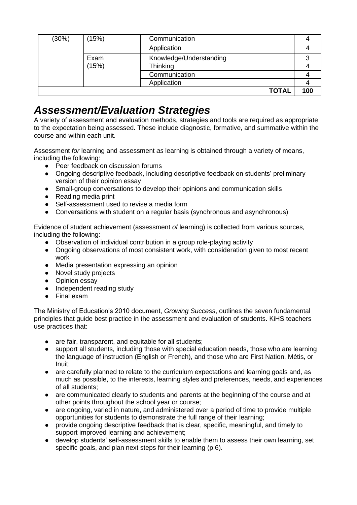| (30%) | (15%) | Communication           |              |     |
|-------|-------|-------------------------|--------------|-----|
|       |       | Application             |              |     |
|       | Exam  | Knowledge/Understanding |              |     |
|       | (15%) | Thinking                |              |     |
|       |       | Communication           |              |     |
|       |       | Application             |              |     |
|       |       |                         | <b>TOTAL</b> | 100 |

### *Assessment/Evaluation Strategies*

A variety of assessment and evaluation methods, strategies and tools are required as appropriate to the expectation being assessed. These include diagnostic, formative, and summative within the course and within each unit.

Assessment *for* learning and assessment *as* learning is obtained through a variety of means, including the following:

- Peer feedback on discussion forums
- Ongoing descriptive feedback, including descriptive feedback on students' preliminary version of their opinion essay
- Small-group conversations to develop their opinions and communication skills
- Reading media print
- Self-assessment used to revise a media form
- Conversations with student on a regular basis (synchronous and asynchronous)

Evidence of student achievement (assessment *of* learning) is collected from various sources, including the following:

- Observation of individual contribution in a group role-playing activity
- Ongoing observations of most consistent work, with consideration given to most recent work
- Media presentation expressing an opinion
- Novel study projects
- Opinion essay
- Independent reading study
- Final exam

The Ministry of Education's 2010 document, *Growing Success*, outlines the seven fundamental principles that guide best practice in the assessment and evaluation of students. KiHS teachers use practices that:

- are fair, transparent, and equitable for all students;
- support all students, including those with special education needs, those who are learning the language of instruction (English or French), and those who are First Nation, Métis, or Inuit;
- are carefully planned to relate to the curriculum expectations and learning goals and, as much as possible, to the interests, learning styles and preferences, needs, and experiences of all students;
- are communicated clearly to students and parents at the beginning of the course and at other points throughout the school year or course;
- are ongoing, varied in nature, and administered over a period of time to provide multiple opportunities for students to demonstrate the full range of their learning;
- provide ongoing descriptive feedback that is clear, specific, meaningful, and timely to support improved learning and achievement;
- develop students' self-assessment skills to enable them to assess their own learning, set specific goals, and plan next steps for their learning (p.6).